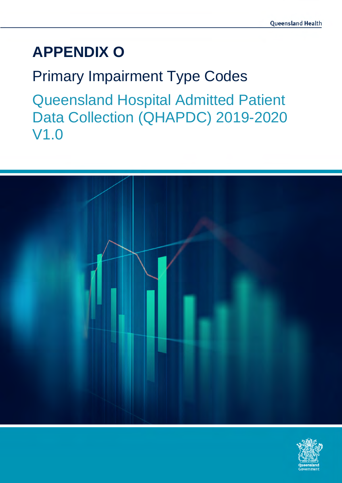# **APPENDIX O**

Primary Impairment Type Codes Queensland Hospital Admitted Patient Data Collection (QHAPDC) 2019-2020 V1.0



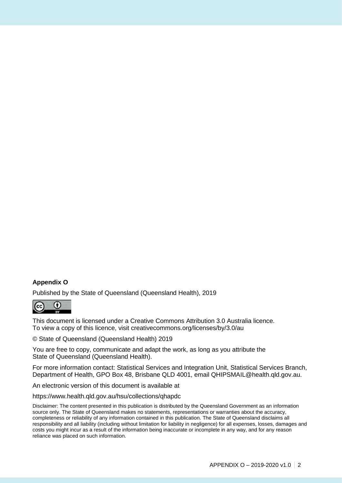#### **Appendix O**

Published by the State of Queensland (Queensland Health), 2019



This document is licensed under a Creative Commons Attribution 3.0 Australia licence. To view a copy of this licence, visit creativecommons.org/licenses/by/3.0/au

© State of Queensland (Queensland Health) 2019

You are free to copy, communicate and adapt the work, as long as you attribute the State of Queensland (Queensland Health).

For more information contact: Statistical Services and Integration Unit, Statistical Services Branch, Department of Health, GPO Box 48, Brisbane QLD 4001, email QHIPSMAIL@health.qld.gov.au.

An electronic version of this document is available at

https://www.health.qld.gov.au/hsu/collections/qhapdc

Disclaimer: The content presented in this publication is distributed by the Queensland Government as an information source only. The State of Queensland makes no statements, representations or warranties about the accuracy, completeness or reliability of any information contained in this publication. The State of Queensland disclaims all responsibility and all liability (including without limitation for liability in negligence) for all expenses, losses, damages and costs you might incur as a result of the information being inaccurate or incomplete in any way, and for any reason reliance was placed on such information.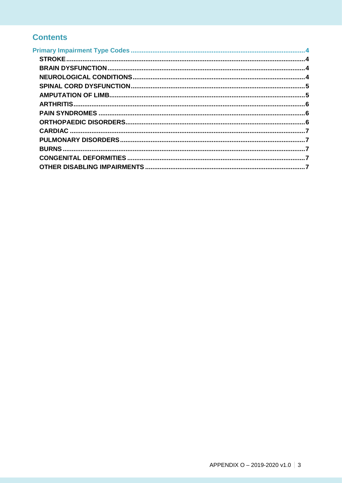### **Contents**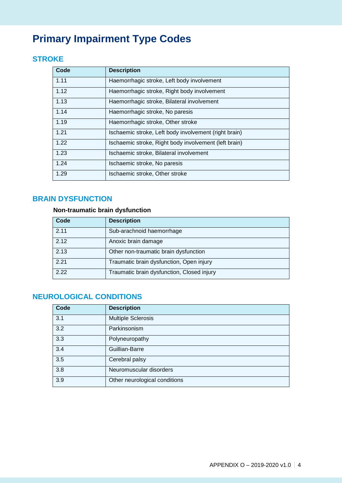## <span id="page-3-0"></span>**Primary Impairment Type Codes**

#### <span id="page-3-1"></span>**STROKE**

| Code | <b>Description</b>                                    |
|------|-------------------------------------------------------|
| 1.11 | Haemorrhagic stroke, Left body involvement            |
| 1.12 | Haemorrhagic stroke, Right body involvement           |
| 1.13 | Haemorrhagic stroke, Bilateral involvement            |
| 1.14 | Haemorrhagic stroke, No paresis                       |
| 1.19 | Haemorrhagic stroke, Other stroke                     |
| 1.21 | Ischaemic stroke, Left body involvement (right brain) |
| 1.22 | Ischaemic stroke, Right body involvement (left brain) |
| 1.23 | Ischaemic stroke, Bilateral involvement               |
| 1.24 | Ischaemic stroke, No paresis                          |
| 1.29 | Ischaemic stroke, Other stroke                        |

#### <span id="page-3-2"></span>**BRAIN DYSFUNCTION**

#### **Non-traumatic brain dysfunction**

| Code | <b>Description</b>                         |
|------|--------------------------------------------|
| 2.11 | Sub-arachnoid haemorrhage                  |
| 2.12 | Anoxic brain damage                        |
| 2.13 | Other non-traumatic brain dysfunction      |
| 2.21 | Traumatic brain dysfunction, Open injury   |
| 2.22 | Traumatic brain dysfunction, Closed injury |

#### <span id="page-3-3"></span>**NEUROLOGICAL CONDITIONS**

| Code | <b>Description</b>            |
|------|-------------------------------|
| 3.1  | <b>Multiple Sclerosis</b>     |
| 3.2  | Parkinsonism                  |
| 3.3  | Polyneuropathy                |
| 3.4  | Guillian-Barre                |
| 3.5  | Cerebral palsy                |
| 3.8  | Neuromuscular disorders       |
| 3.9  | Other neurological conditions |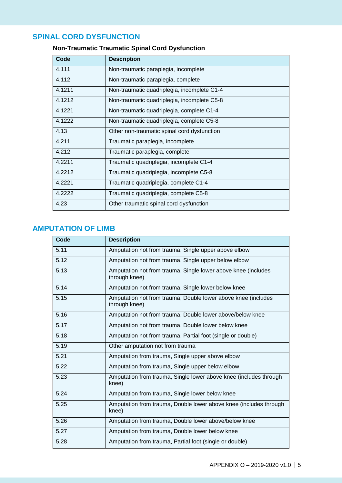#### <span id="page-4-0"></span>**SPINAL CORD DYSFUNCTION**

| Code   | <b>Description</b>                          |
|--------|---------------------------------------------|
| 4.111  | Non-traumatic paraplegia, incomplete        |
| 4.112  | Non-traumatic paraplegia, complete          |
| 4.1211 | Non-traumatic quadriplegia, incomplete C1-4 |
| 4.1212 | Non-traumatic quadriplegia, incomplete C5-8 |
| 4.1221 | Non-traumatic quadriplegia, complete C1-4   |
| 4.1222 | Non-traumatic quadriplegia, complete C5-8   |
| 4.13   | Other non-traumatic spinal cord dysfunction |
| 4.211  | Traumatic paraplegia, incomplete            |
| 4.212  | Traumatic paraplegia, complete              |
| 4.2211 | Traumatic quadriplegia, incomplete C1-4     |
| 4.2212 | Traumatic quadriplegia, incomplete C5-8     |
| 4.2221 | Traumatic quadriplegia, complete C1-4       |
| 4.2222 | Traumatic quadriplegia, complete C5-8       |
| 4.23   | Other traumatic spinal cord dysfunction     |

#### **Non-Traumatic Traumatic Spinal Cord Dysfunction**

#### <span id="page-4-1"></span>**AMPUTATION OF LIMB**

| Code | <b>Description</b>                                                             |
|------|--------------------------------------------------------------------------------|
| 5.11 | Amputation not from trauma, Single upper above elbow                           |
| 5.12 | Amputation not from trauma, Single upper below elbow                           |
| 5.13 | Amputation not from trauma, Single lower above knee (includes<br>through knee) |
| 5.14 | Amputation not from trauma, Single lower below knee                            |
| 5.15 | Amputation not from trauma, Double lower above knee (includes<br>through knee) |
| 5.16 | Amputation not from trauma, Double lower above/below knee                      |
| 5.17 | Amputation not from trauma, Double lower below knee                            |
| 5.18 | Amputation not from trauma, Partial foot (single or double)                    |
| 5.19 | Other amputation not from trauma                                               |
| 5.21 | Amputation from trauma, Single upper above elbow                               |
| 5.22 | Amputation from trauma, Single upper below elbow                               |
| 5.23 | Amputation from trauma, Single lower above knee (includes through<br>knee)     |
| 5.24 | Amputation from trauma, Single lower below knee                                |
| 5.25 | Amputation from trauma, Double lower above knee (includes through<br>knee)     |
| 5.26 | Amputation from trauma, Double lower above/below knee                          |
| 5.27 | Amputation from trauma, Double lower below knee                                |
| 5.28 | Amputation from trauma, Partial foot (single or double)                        |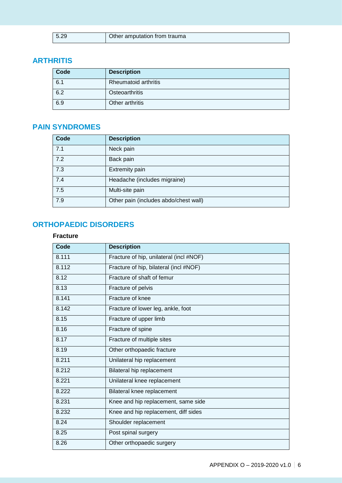| 15.29 | Other amputation from trauma |
|-------|------------------------------|
|       |                              |

#### <span id="page-5-0"></span>**ARTHRITIS**

| Code | <b>Description</b>          |
|------|-----------------------------|
| 6.1  | <b>Rheumatoid arthritis</b> |
| 6.2  | Osteoarthritis              |
| 6.9  | Other arthritis             |

#### <span id="page-5-1"></span>**PAIN SYNDROMES**

| Code | <b>Description</b>                    |
|------|---------------------------------------|
| 7.1  | Neck pain                             |
| 7.2  | Back pain                             |
| 7.3  | <b>Extremity pain</b>                 |
| 7.4  | Headache (includes migraine)          |
| 7.5  | Multi-site pain                       |
| 7.9  | Other pain (includes abdo/chest wall) |

#### <span id="page-5-2"></span>**ORTHOPAEDIC DISORDERS**

#### **Fracture**

| Code  | <b>Description</b>                      |
|-------|-----------------------------------------|
| 8.111 | Fracture of hip, unilateral (incl #NOF) |
| 8.112 | Fracture of hip, bilateral (incl #NOF)  |
| 8.12  | Fracture of shaft of femur              |
| 8.13  | Fracture of pelvis                      |
| 8.141 | Fracture of knee                        |
| 8.142 | Fracture of lower leg, ankle, foot      |
| 8.15  | Fracture of upper limb                  |
| 8.16  | Fracture of spine                       |
| 8.17  | Fracture of multiple sites              |
| 8.19  | Other orthopaedic fracture              |
| 8.211 | Unilateral hip replacement              |
| 8.212 | Bilateral hip replacement               |
| 8.221 | Unilateral knee replacement             |
| 8.222 | Bilateral knee replacement              |
| 8.231 | Knee and hip replacement, same side     |
| 8.232 | Knee and hip replacement, diff sides    |
| 8.24  | Shoulder replacement                    |
| 8.25  | Post spinal surgery                     |
| 8.26  | Other orthopaedic surgery               |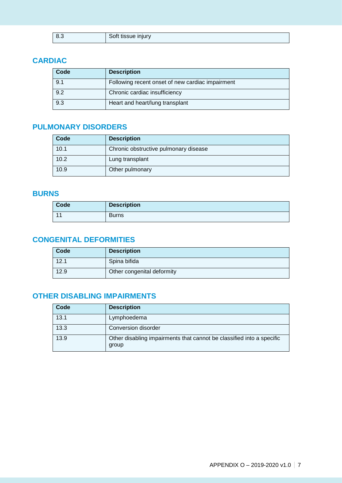| 8.3 | Soft tissue injury |
|-----|--------------------|
|     |                    |

#### <span id="page-6-0"></span>**CARDIAC**

| Code | <b>Description</b>                               |
|------|--------------------------------------------------|
| 9.1  | Following recent onset of new cardiac impairment |
| 9.2  | Chronic cardiac insufficiency                    |
| 9.3  | Heart and heart/lung transplant                  |

#### <span id="page-6-1"></span>**PULMONARY DISORDERS**

| Code | <b>Description</b>                    |
|------|---------------------------------------|
| 10.1 | Chronic obstructive pulmonary disease |
| 10.2 | Lung transplant                       |
| 10.9 | Other pulmonary                       |

#### <span id="page-6-2"></span>**BURNS**

| Code           | <b>Description</b> |
|----------------|--------------------|
| $\overline{4}$ | <b>Burns</b>       |

#### <span id="page-6-3"></span>**CONGENITAL DEFORMITIES**

| Code | <b>Description</b>         |
|------|----------------------------|
| 12.1 | Spina bifida               |
| 12.9 | Other congenital deformity |

#### <span id="page-6-4"></span>**OTHER DISABLING IMPAIRMENTS**

| Code | <b>Description</b>                                                             |
|------|--------------------------------------------------------------------------------|
| 13.1 | Lymphoedema                                                                    |
| 13.3 | Conversion disorder                                                            |
| 13.9 | Other disabling impairments that cannot be classified into a specific<br>group |